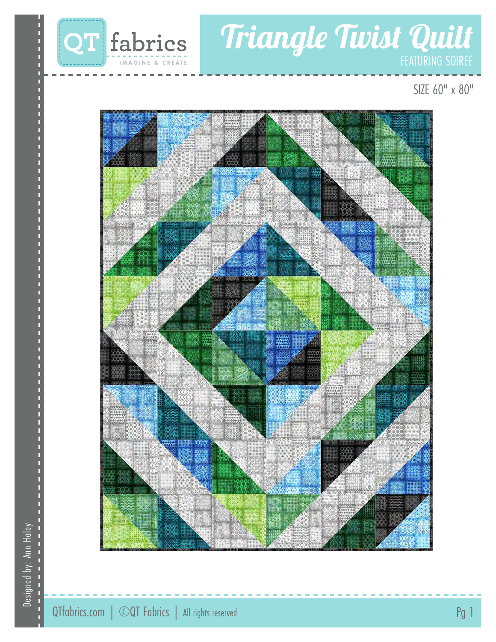

# Triangle Twist Quilt

SIZE 60" x 80"

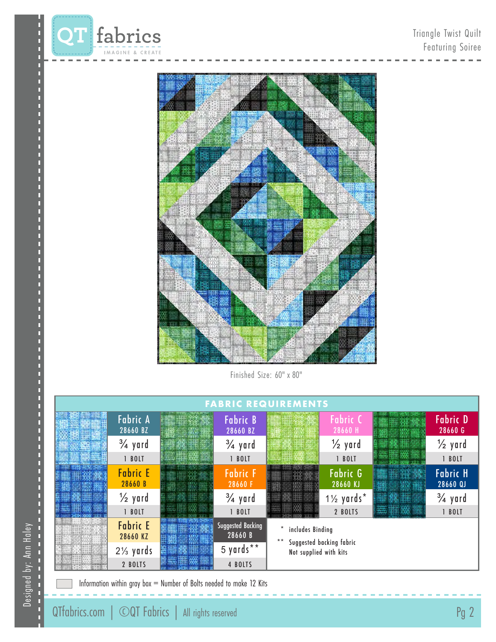



Finished Size: 60" x 80"

| <b>FABRIC REQUIREMENTS</b> |                             |  |                                     |                                                                        |                                   |  |                             |
|----------------------------|-----------------------------|--|-------------------------------------|------------------------------------------------------------------------|-----------------------------------|--|-----------------------------|
|                            | <b>Fabric A</b><br>28660 BZ |  | <b>Fabric B</b><br>28660 BZ         |                                                                        | Fabric C<br>28660 H               |  | <b>Fabric D</b><br>28660 G  |
|                            | $\frac{3}{4}$ yard          |  | $\frac{3}{4}$ yard                  |                                                                        | $\frac{1}{2}$ yard                |  | $\frac{1}{2}$ yard          |
|                            | 1 BOLT                      |  | 1 BOLT                              |                                                                        | 1 BOLT                            |  | 1 BOLT                      |
|                            | <b>Fabric E</b><br>28660 B  |  | <b>Fabric F</b><br>28660 F          |                                                                        | <b>Fabric G</b><br>28660 KJ       |  | <b>Fabric H</b><br>28660 QJ |
|                            | $\frac{1}{2}$ yard          |  | $\frac{3}{4}$ yard                  |                                                                        | $1\frac{1}{2}$ yards <sup>*</sup> |  | $\frac{3}{4}$ yard          |
|                            | 1 BOLT                      |  | 1 BOLT                              |                                                                        | 2 BOLTS                           |  | 1 BOLT                      |
|                            | <b>Fabric E</b><br>28660 KZ |  | <b>Suggested Backing</b><br>28660 B | includes Binding<br>Suggested backing fabric<br>Not supplied with kits |                                   |  |                             |
|                            | $2\frac{1}{3}$ yards        |  | 5 yards**                           |                                                                        |                                   |  |                             |
|                            | 2 BOLTS                     |  | 4 BOLTS                             |                                                                        |                                   |  |                             |

Information within gray box = Number of Bolts needed to make 12 Kits

Designed by: Ann Haley

Designed by: Ann Haley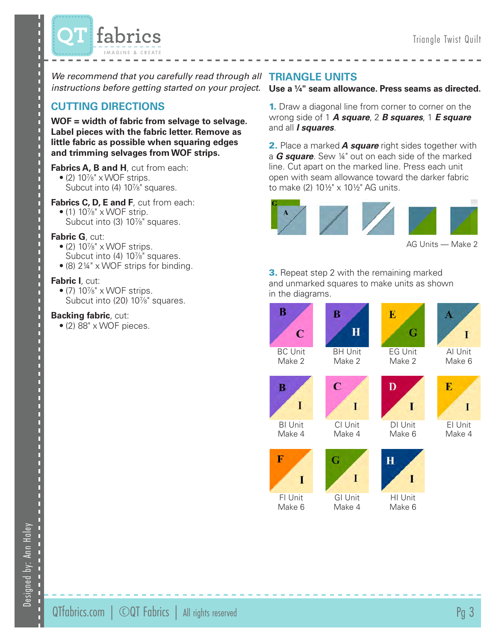

We recommend that you carefully read through all **TRIANGLE UNITS** 

# **CUTTING DIRECTIONS**

**WOF = width of fabric from selvage to selvage. Label pieces with the fabric letter. Remove as little fabric as possible when squaring edges and trimming selvages from WOF strips.**

- **Fabrics A, B and H**, cut from each:  $\bullet$  (2) 10%" x WOF strips. Subcut into (4) 10<sup>7/8"</sup> squares.
- **Fabrics C, D, E and F**, cut from each:  $\bullet$  (1) 10%" x WOF strip. Subcut into (3) 10<sup>7/8"</sup> squares.

# **Fabric G**, cut:

- $\bullet$  (2) 10%" x WOF strips. Subcut into (4) 10<sup>7/8"</sup> squares.
- (8) 2¼" x WOF strips for binding.

# **Fabric I**, cut:

 $\bullet$  (7)  $10\%$ " x WOF strips. Subcut into (20) 10<sup>/8"</sup> squares.

# **Backing fabric**, cut:

• (2) 88" x WOF pieces.

# *instructions before getting started on your project.* **Use a ¼" seam allowance. Press seams as directed.**

**1.** Draw a diagonal line from corner to corner on the wrong side of 1 *A square*, 2 *B squares*, 1 *E square* and all *I squares*.

2. Place a marked *A square* right sides together with a *G square*. Sew ¼" out on each side of the marked line. Cut apart on the marked line. Press each unit open with seam allowance toward the darker fabric to make (2) 10½" x 10½" AG units.



AG Units — Make 2

**3.** Repeat step 2 with the remaining marked and unmarked squares to make units as shown in the diagrams.